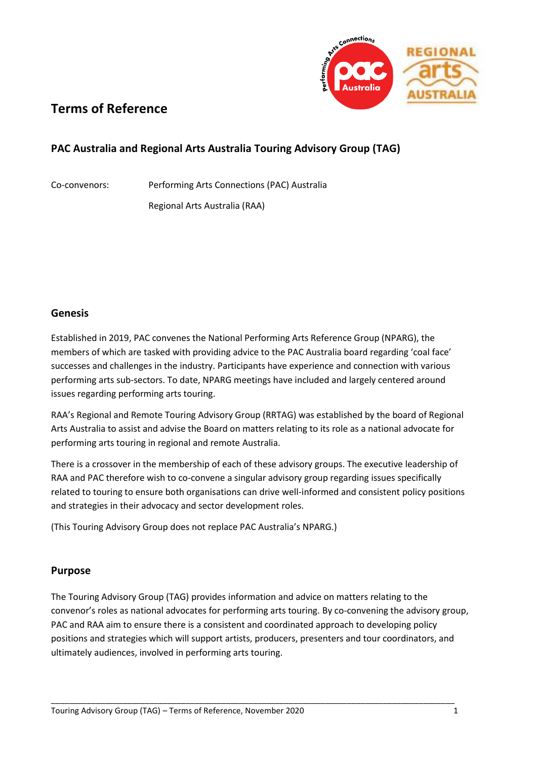

# **Terms of Reference**

## **PAC Australia and Regional Arts Australia Touring Advisory Group (TAG)**

Co-convenors: Performing Arts Connections (PAC) Australia

Regional Arts Australia (RAA)

#### **Genesis**

Established in 2019, PAC convenes the National Performing Arts Reference Group (NPARG), the members of which are tasked with providing advice to the PAC Australia board regarding 'coal face' successes and challenges in the industry. Participants have experience and connection with various performing arts sub-sectors. To date, NPARG meetings have included and largely centered around issues regarding performing arts touring.

RAA's Regional and Remote Touring Advisory Group (RRTAG) was established by the board of Regional Arts Australia to assist and advise the Board on matters relating to its role as a national advocate for performing arts touring in regional and remote Australia.

There is a crossover in the membership of each of these advisory groups. The executive leadership of RAA and PAC therefore wish to co-convene a singular advisory group regarding issues specifically related to touring to ensure both organisations can drive well-informed and consistent policy positions and strategies in their advocacy and sector development roles.

(This Touring Advisory Group does not replace PAC Australia's NPARG.)

#### **Purpose**

The Touring Advisory Group (TAG) provides information and advice on matters relating to the convenor's roles as national advocates for performing arts touring. By co-convening the advisory group, PAC and RAA aim to ensure there is a consistent and coordinated approach to developing policy positions and strategies which will support artists, producers, presenters and tour coordinators, and ultimately audiences, involved in performing arts touring.

\_\_\_\_\_\_\_\_\_\_\_\_\_\_\_\_\_\_\_\_\_\_\_\_\_\_\_\_\_\_\_\_\_\_\_\_\_\_\_\_\_\_\_\_\_\_\_\_\_\_\_\_\_\_\_\_\_\_\_\_\_\_\_\_\_\_\_\_\_\_\_\_\_\_\_\_\_\_\_\_\_\_\_\_\_\_\_\_\_\_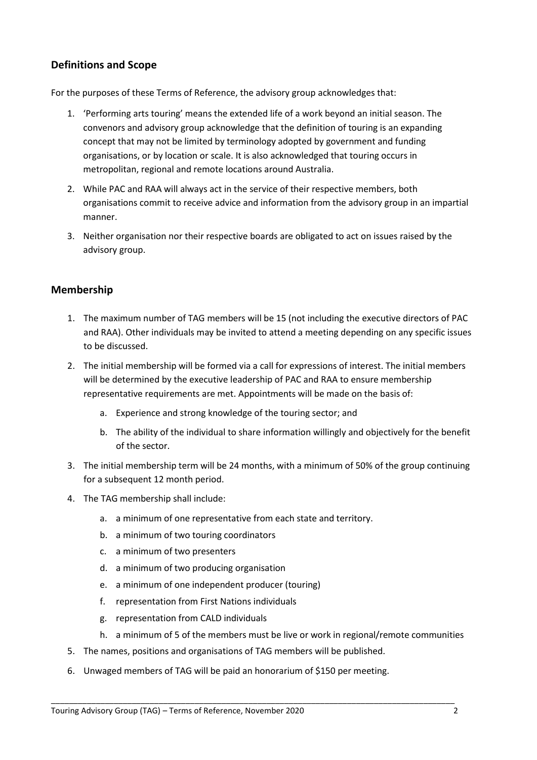### **Definitions and Scope**

For the purposes of these Terms of Reference, the advisory group acknowledges that:

- 1. 'Performing arts touring' means the extended life of a work beyond an initial season. The convenors and advisory group acknowledge that the definition of touring is an expanding concept that may not be limited by terminology adopted by government and funding organisations, or by location or scale. It is also acknowledged that touring occurs in metropolitan, regional and remote locations around Australia.
- 2. While PAC and RAA will always act in the service of their respective members, both organisations commit to receive advice and information from the advisory group in an impartial manner.
- 3. Neither organisation nor their respective boards are obligated to act on issues raised by the advisory group.

#### **Membership**

- 1. The maximum number of TAG members will be 15 (not including the executive directors of PAC and RAA). Other individuals may be invited to attend a meeting depending on any specific issues to be discussed.
- 2. The initial membership will be formed via a call for expressions of interest. The initial members will be determined by the executive leadership of PAC and RAA to ensure membership representative requirements are met. Appointments will be made on the basis of:
	- a. Experience and strong knowledge of the touring sector; and
	- b. The ability of the individual to share information willingly and objectively for the benefit of the sector.
- 3. The initial membership term will be 24 months, with a minimum of 50% of the group continuing for a subsequent 12 month period.
- 4. The TAG membership shall include:
	- a. a minimum of one representative from each state and territory.
	- b. a minimum of two touring coordinators
	- c. a minimum of two presenters
	- d. a minimum of two producing organisation
	- e. a minimum of one independent producer (touring)
	- f. representation from First Nations individuals
	- g. representation from CALD individuals
	- h. a minimum of 5 of the members must be live or work in regional/remote communities
- 5. The names, positions and organisations of TAG members will be published.
- 6. Unwaged members of TAG will be paid an honorarium of \$150 per meeting.

\_\_\_\_\_\_\_\_\_\_\_\_\_\_\_\_\_\_\_\_\_\_\_\_\_\_\_\_\_\_\_\_\_\_\_\_\_\_\_\_\_\_\_\_\_\_\_\_\_\_\_\_\_\_\_\_\_\_\_\_\_\_\_\_\_\_\_\_\_\_\_\_\_\_\_\_\_\_\_\_\_\_\_\_\_\_\_\_\_\_